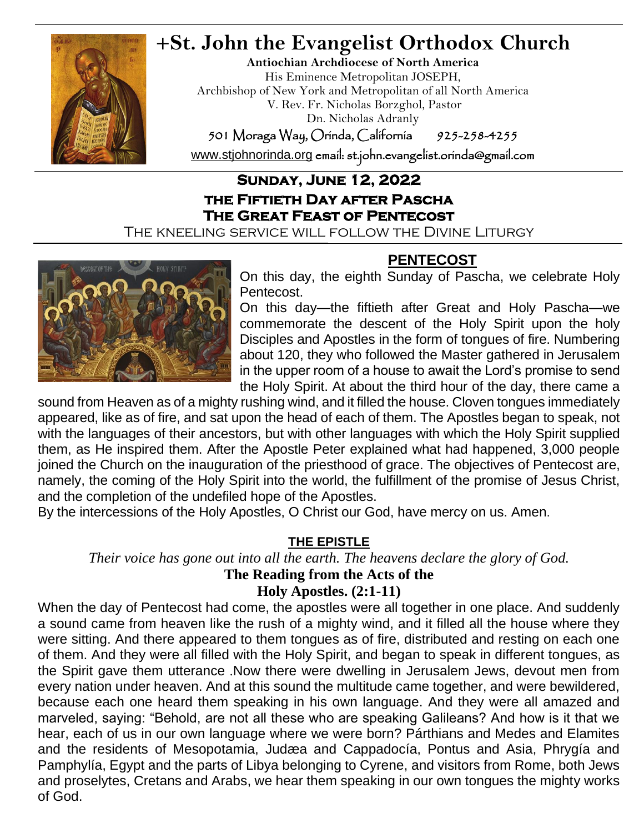

## **+St. John the Evangelist Orthodox Church**

**Antiochian Archdiocese of North America** His Eminence Metropolitan JOSEPH, Archbishop of New York and Metropolitan of all North America V. Rev. Fr. Nicholas Borzghol, Pastor Dn. Nicholas Adranly

501 Moraga Way, Orinda, California 925-258-4255

[www.stjohnorinda.org](http://www.stjohnorinda.org/) email: st.john.evangelist.orinda@gmail.com

### **Sunday, June 12, 2022 the Fiftieth Day after Pascha The Great Feast of Pentecost**

The kneeling service will follow the Divine Liturgy



**PENTECOST**

On this day, the eighth Sunday of Pascha, we celebrate Holy Pentecost.

On this day—the fiftieth after Great and Holy Pascha—we commemorate the descent of the Holy Spirit upon the holy Disciples and Apostles in the form of tongues of fire. Numbering about 120, they who followed the Master gathered in Jerusalem in the upper room of a house to await the Lord's promise to send the Holy Spirit. At about the third hour of the day, there came a

sound from Heaven as of a mighty rushing wind, and it filled the house. Cloven tongues immediately appeared, like as of fire, and sat upon the head of each of them. The Apostles began to speak, not with the languages of their ancestors, but with other languages with which the Holy Spirit supplied them, as He inspired them. After the Apostle Peter explained what had happened, 3,000 people joined the Church on the inauguration of the priesthood of grace. The objectives of Pentecost are, namely, the coming of the Holy Spirit into the world, the fulfillment of the promise of Jesus Christ, and the completion of the undefiled hope of the Apostles.

By the intercessions of the Holy Apostles, O Christ our God, have mercy on us. Amen.

### **THE EPISTLE**

*Their voice has gone out into all the earth. The heavens declare the glory of God.*

## **The Reading from the Acts of the**

**Holy Apostles. (2:1-11)**

When the day of Pentecost had come, the apostles were all together in one place. And suddenly a sound came from heaven like the rush of a mighty wind, and it filled all the house where they were sitting. And there appeared to them tongues as of fire, distributed and resting on each one of them. And they were all filled with the Holy Spirit, and began to speak in different tongues, as the Spirit gave them utterance .Now there were dwelling in Jerusalem Jews, devout men from every nation under heaven. And at this sound the multitude came together, and were bewildered, because each one heard them speaking in his own language. And they were all amazed and marveled, saying: "Behold, are not all these who are speaking Galileans? And how is it that we hear, each of us in our own language where we were born? Párthians and Medes and Elamites and the residents of Mesopotamia, Judæa and Cappadocía, Pontus and Asia, Phrygía and Pamphylía, Egypt and the parts of Libya belonging to Cyrene, and visitors from Rome, both Jews and proselytes, Cretans and Arabs, we hear them speaking in our own tongues the mighty works of God.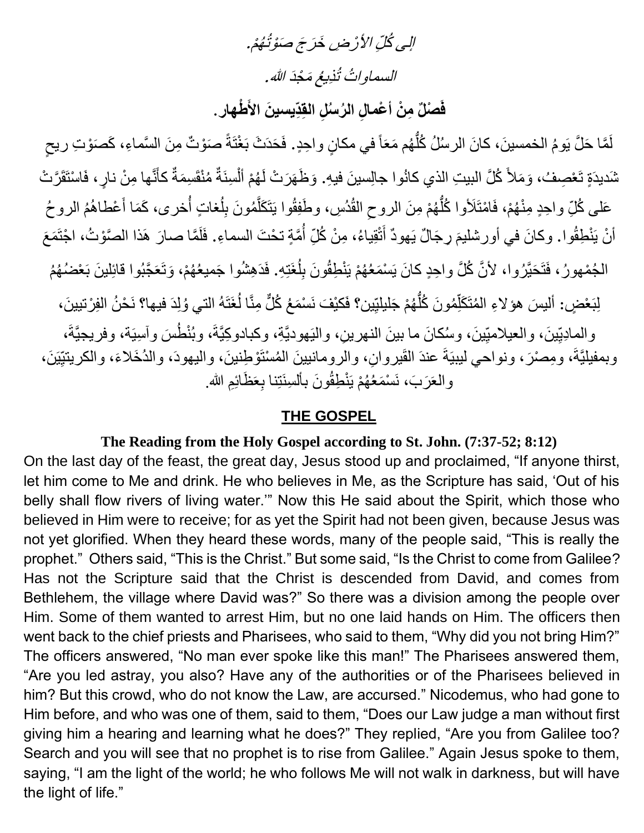# الِي كُلِّ الأَرْضِ خَرَجَ صَوْتُهُمْ. السماواتُ تُذِيعُ مَجْدَ الله.

## فَصْلٌ مِنْ أعْمالِ الرُسنُلِ القِدِّيسينَ الأَطْهارِ .

لَمَّا حَلَّ يَومُ الخمسينَ، كانَ الرسُلُ كُلُّهُم مَعَاً في مكانٍ واحِدٍ. فَحَدَثَ بَغْتَةً صَوْتٌ مِنَ السَّماءِ، كَصَوْتِ ريحٍ ُّ شَديدَةٍ تَعْصِفُ، وَمَلأَ كُلَّ البيتِ الذي كانُوا جالِسينَ فيهِ. وَظَهَرَتْ لَهُمْ أَلْسِنَةٌ مُنْقَسِمَةٌ كأنَّها مِنْ نارٍ، فَاسْتَقَرَّتْ َ ْ عَلـى كُلِّ واحِدٍ مِنْهُمْ، فَامْتَلَأوا كُلُّهُمْ مِنَ الروحِ الْقُدُسِ، وطَفِقُوا يَتَكَلَّمُونَ بِلُغاتٍ أُخرى، كَمَا أَعْطاهُمُ الروحُ ُّ َ ِّل َّ ِّ أَنْ يَنْطِقُوا. وكانَ في أورشليمَ رِجَالٌ يَهودٌ أَنْقِياءُ، مِنْ كُلِّ أُمَّةٍ تحْتَ السماءِ. فَلَمَّا صارَ هَذا الصَّوْتُ، اجْتَمَعَ اُ َ الْجُمْهُورُ، فَتَحَيَّرُوا، لأَنَّ كُلَّ واحِدٍ كانَ يَسْمَعُهُمْ يَنْطِقُونَ بِلُغَتِهِ. فَدَهِشُوا جَميعُهُمْ، وَتَعَجَّبُوا قائِلينَ بَعْضُهُمُ ُ ِّل لِبَعْضٍ: أَليسَ هؤ لاءِ المُتَكَلِّمُونَ كُلَّهُمْ جَليلتِين؟ فَكَيْفَ نَسْمَعُ كُلُّ مِنَّا لُغَتَهُ التي وُلِدَ فيها؟ نَحْنُ الفِرْتيينَ، ُ ُّ j والمادِيِّينَ، والعيلاميِّينَ، وسُكانَ ما بينَ النهرينِ، والنَيهوديَّةِ، وكبادوكِيَّةَ، وبُنْطُسَ وأسِيَة، وفريجيَّةَ، ِّ وبمفيليَّةَ، ومِصْرَ، ونواحي ليبيَةَ عندَ القَيروانِ، والرومانيينَ المُسْتَوْطِنينَ، واليهودَ، والدُخَلاءَ، والكريتيِّيَنَ، والعَرَبَ، نَسْمَعُهُمْ يَنْطِقُونَ بِأَلسِنَتِنا بِعَظَائِمِ الله.

#### **THE GOSPEL**

#### **The Reading from the Holy Gospel according to St. John. (7:37-52; 8:12)**

On the last day of the feast, the great day, Jesus stood up and proclaimed, "If anyone thirst, let him come to Me and drink. He who believes in Me, as the Scripture has said, 'Out of his belly shall flow rivers of living water.'" Now this He said about the Spirit, which those who believed in Him were to receive; for as yet the Spirit had not been given, because Jesus was not yet glorified. When they heard these words, many of the people said, "This is really the prophet." Others said, "This is the Christ." But some said, "Is the Christ to come from Galilee? Has not the Scripture said that the Christ is descended from David, and comes from Bethlehem, the village where David was?" So there was a division among the people over Him. Some of them wanted to arrest Him, but no one laid hands on Him. The officers then went back to the chief priests and Pharisees, who said to them, "Why did you not bring Him?" The officers answered, "No man ever spoke like this man!" The Pharisees answered them, "Are you led astray, you also? Have any of the authorities or of the Pharisees believed in him? But this crowd, who do not know the Law, are accursed." Nicodemus, who had gone to Him before, and who was one of them, said to them, "Does our Law judge a man without first giving him a hearing and learning what he does?" They replied, "Are you from Galilee too? Search and you will see that no prophet is to rise from Galilee." Again Jesus spoke to them, saying, "I am the light of the world; he who follows Me will not walk in darkness, but will have the light of life."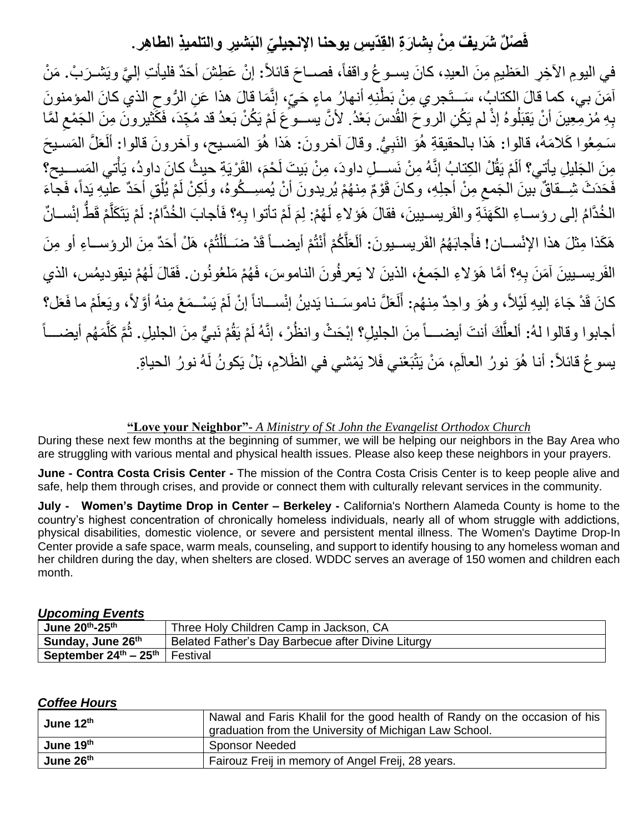## فَصلْلٌ شَريفٌ مِنْ بِشارَةِ القِدّيسِ يوحنا الإنجيليِّ البَشْيرِ والتلميذِ الطاهِرِ .

في اليومِ الآخِرِ العَظيمِ مِنَ العيدِ، كانَ يســو عُ واقفاً، فصـــاحَ قائلاً: إنْ عَطِشَ أحَدٌ فليأتِ إليَّ ويَشــرَبْ. مَنْ آمَنَ بي، كما قالَ الكتابُ، سَــتَجرِي مِنْ بَطْنِهِ أنهارُ مِاءٍ حَيٍّ، إِنَّمَا قالَ هذا عَنِ الرُّوحِ الذي كانَ المؤمنونَ ِّ بِهِ مُزْمِّعِينَ أَنْ يَقبَلُوهُ إذْ لم يَكُنِ الروحَ القُدسَ بَعْدُ. لأنَّ يســوَّعَ لَمْ يَكُنْ بَعدُ قد مُجِّدَ، فَكَثَيْرونَ مِنَ الجَمْعِ لَمَّا ِّ سَـمِعُوا كَلامَهُ، قالوا: هَذا بالحقيقةِ هُوَ النَبِيُّ. وقالَ آخرونَ: هَذا هُوَ المَسـيح، وأخرونَ قالوا: ألَعَلَّ المَسـيحَ مِنَ الجَليلِ يأتِي؟ ألَمْ يَقُلْ الكِتابُ إنَّهُ مِنْ نَســـلِ داودَ، مِنْ بَيتَ لَحْمَ، القَرْيَةِ حيثُ كانَ داودُ، يَأْتي المَســـيح؟ م<br>أ فَحَدَثَ شِــقاقٌ ببنَ الْجَمعِ مِنْ أجلِهِ، وكانَ قَوْمٌ مِنـهُمْ يُريدونَ أنْ يُمسِــكُوهُ، ولَكِنْ لَمْ يُلْقِ أحَدٌ عليهِ يَداً، فَجاءَ ْ ِّ الْخُدَّامُ إلى رؤســاءِ الكَهَنَةِ والفَريسـيينَ، فقالَ هَؤلاءِ لَهُمْ: لِمَ لَمْ تأتوا بِهِ؟ فَأجابَ الْخُدَّامُ: لَمْ يَتَكَلَّمْ قَطَّ إنْســانٌ لَ َ َّ ُّ هَكَذا مِثْلَ هذا الإنْســان! فأَجابَهُمُ الفَريســيونَ: أَلَعَلَّكُمْ أَنْتُمْ أيضـــاً قَدْ ضَــلَلْتُمْ، هَلْ أَحَدٌ مِنَ الروِســاءِ أو مِنَ َ ْ َ َّ الْفَريسـيينَ آمَنَ بِهِ؟ أمَّا هَؤلاءِ الْجَمعُ، الذينَ لا يَعرِفُونَ الناموسَ، فَهُمْ مَلْعُونُون. فَقالَ لَهُمْ نيقوديمُس، الذي كانَ قَدْ جَاءَ الِيهِ لَيْلاً، وهُوَ واحِدٌ مِنهُم: أَلَعَلَّ ناموسَــنا يَدينُ إنْســـاناً إنْ لَمْ يَسْــمَعْ مِنهُ أوَّلاً، ويَعلَمْ ما فَعَل؟ َ أجابوا وقالوا لهُ: ألعلُّكَ أنتَ أيضـــــأ مِنَ الـجليلِ؟ إبْحَثْ وانظُرْ، إنَّهُ لَمْ يَقُمْ نَبيٌّ مِنَ الـجليلِ. ثُمَّ كَلَّمَهُم أيضــــأ َّ َّ يسو عُ قائلاً: أنا هُوَ نورُ العالَمِ، مَنْ يَتْبَعْني فَلا يَمْشي في الظّلامِ، بَلْ يَكونُ لَهُ نورُ الحياةِ.

#### **"Love your Neighbor"-** *A Ministry of St John the Evangelist Orthodox Church*

During these next few months at the beginning of summer, we will be helping our neighbors in the Bay Area who are struggling with various mental and physical health issues. Please also keep these neighbors in your prayers.

**June - Contra Costa Crisis Center -** The mission of the Contra Costa Crisis Center is to keep people alive and safe, help them through crises, and provide or connect them with culturally relevant services in the community.

**July - Women's Daytime Drop in Center – Berkeley -** California's Northern Alameda County is home to the country's highest concentration of chronically homeless individuals, nearly all of whom struggle with addictions, physical disabilities, domestic violence, or severe and persistent mental illness. The Women's Daytime Drop-In Center provide a safe space, warm meals, counseling, and support to identify housing to any homeless woman and her children during the day, when shelters are closed. WDDC serves an average of 150 women and children each month.

#### *Upcoming Events*

| June 20th-25th                          | Three Holy Children Camp in Jackson, CA            |  |
|-----------------------------------------|----------------------------------------------------|--|
| Sunday, June 26th                       | Belated Father's Day Barbecue after Divine Liturgy |  |
| <b>September 24th – 25th   Festival</b> |                                                    |  |

#### *Coffee Hours*

| June $12th$ | Nawal and Faris Khalil for the good health of Randy on the occasion of his<br>graduation from the University of Michigan Law School. |
|-------------|--------------------------------------------------------------------------------------------------------------------------------------|
| June 19th   | <b>Sponsor Needed</b>                                                                                                                |
| June 26th   | Fairouz Freij in memory of Angel Freij, 28 years.                                                                                    |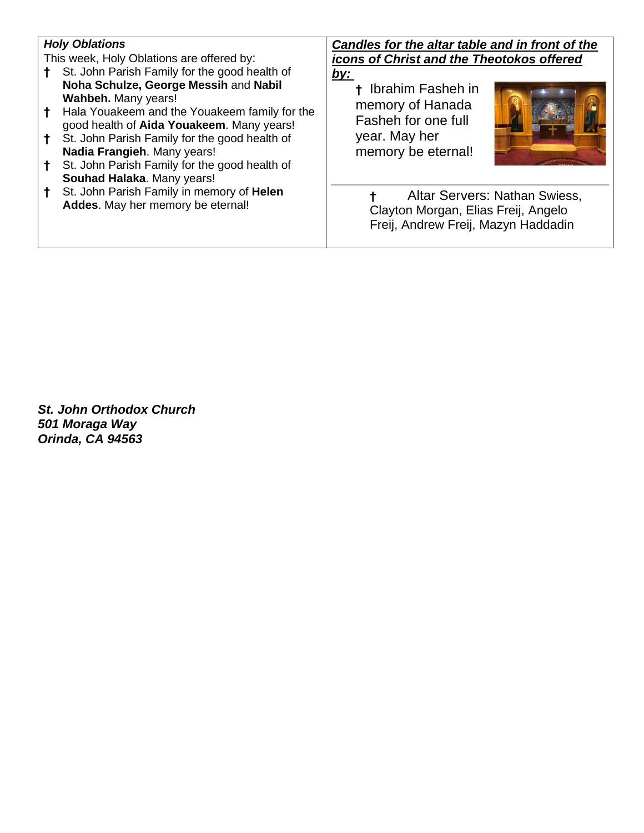#### *Holy Oblations*

This week, Holy Oblations are offered by:

- **†** St. John Parish Family for the good health of **Noha Schulze, George Messih** and **Nabil Wahbeh.** Many years!
- **†** Hala Youakeem and the Youakeem family for the good health of **Aida Youakeem**. Many years!
- **†** St. John Parish Family for the good health of **Nadia Frangieh**. Many years!
- **†** St. John Parish Family for the good health of **Souhad Halaka**. Many years!
- **†** St. John Parish Family in memory of **Helen Addes**. May her memory be eternal!

*Candles for the altar table and in front of the icons of Christ and the Theotokos offered by:*

**†** Ibrahim Fasheh in memory of Hanada Fasheh for one full year. May her memory be eternal!



**†** Altar Servers: Nathan Swiess, Clayton Morgan, Elias Freij, Angelo Freij, Andrew Freij, Mazyn Haddadin

*St. John Orthodox Church 501 Moraga Way Orinda, CA 94563*